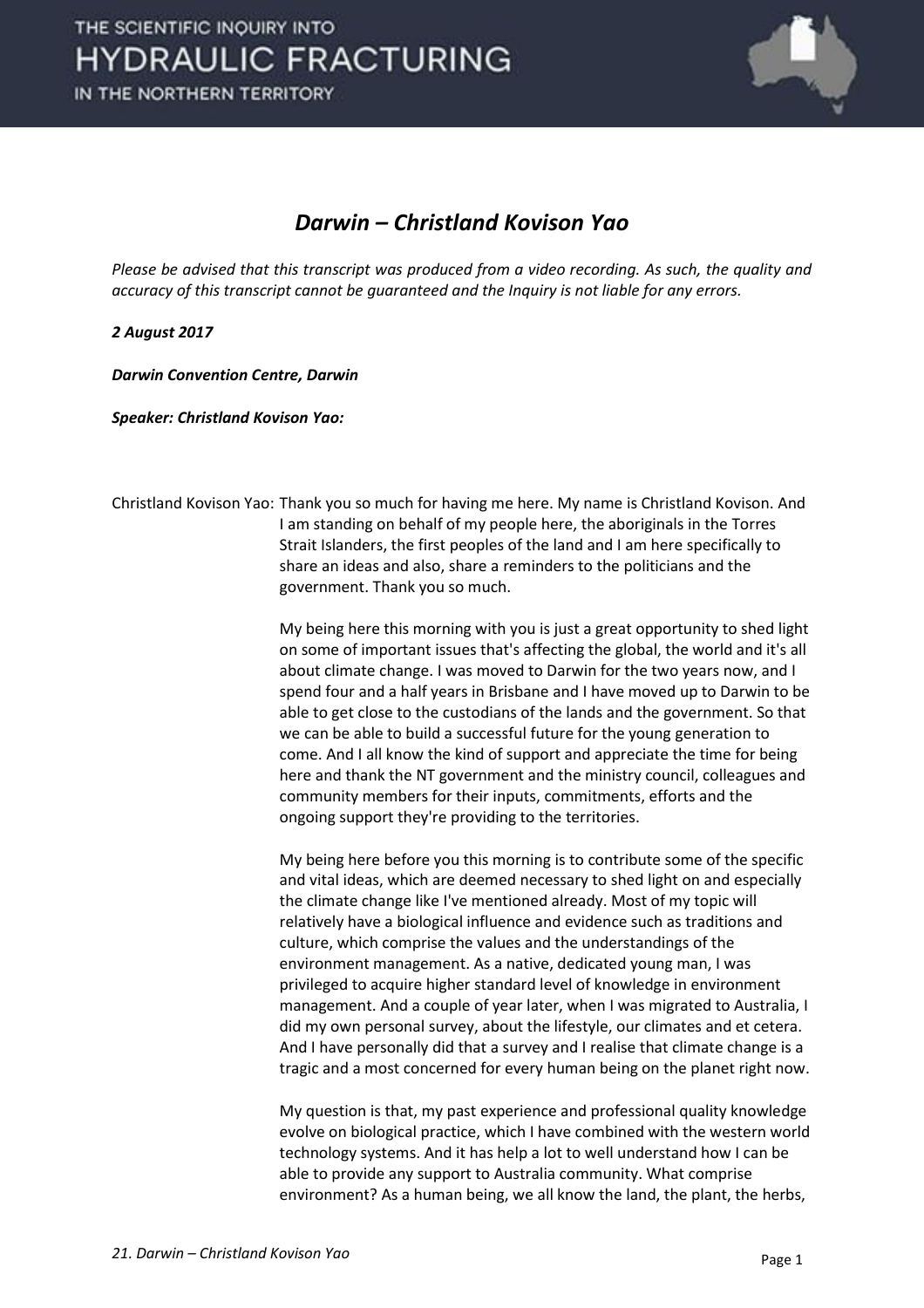

## *Darwin – Christland Kovison Yao*

*Please be advised that this transcript was produced from a video recording. As such, the quality and accuracy of this transcript cannot be guaranteed and the Inquiry is not liable for any errors.*

## *2 August 2017*

*Darwin Convention Centre, Darwin* 

*Speaker: Christland Kovison Yao:* 

Christland Kovison Yao: Thank you so much for having me here. My name is Christland Kovison. And I am standing on behalf of my people here, the aboriginals in the Torres Strait Islanders, the first peoples of the land and I am here specifically to share an ideas and also, share a reminders to the politicians and the government. Thank you so much.

> My being here this morning with you is just a great opportunity to shed light on some of important issues that's affecting the global, the world and it's all about climate change. I was moved to Darwin for the two years now, and I spend four and a half years in Brisbane and I have moved up to Darwin to be able to get close to the custodians of the lands and the government. So that we can be able to build a successful future for the young generation to come. And I all know the kind of support and appreciate the time for being here and thank the NT government and the ministry council, colleagues and community members for their inputs, commitments, efforts and the ongoing support they're providing to the territories.

> My being here before you this morning is to contribute some of the specific and vital ideas, which are deemed necessary to shed light on and especially the climate change like I've mentioned already. Most of my topic will relatively have a biological influence and evidence such as traditions and culture, which comprise the values and the understandings of the environment management. As a native, dedicated young man, I was privileged to acquire higher standard level of knowledge in environment management. And a couple of year later, when I was migrated to Australia, I did my own personal survey, about the lifestyle, our climates and et cetera. And I have personally did that a survey and I realise that climate change is a tragic and a most concerned for every human being on the planet right now.

> My question is that, my past experience and professional quality knowledge evolve on biological practice, which I have combined with the western world technology systems. And it has help a lot to well understand how I can be able to provide any support to Australia community. What comprise environment? As a human being, we all know the land, the plant, the herbs,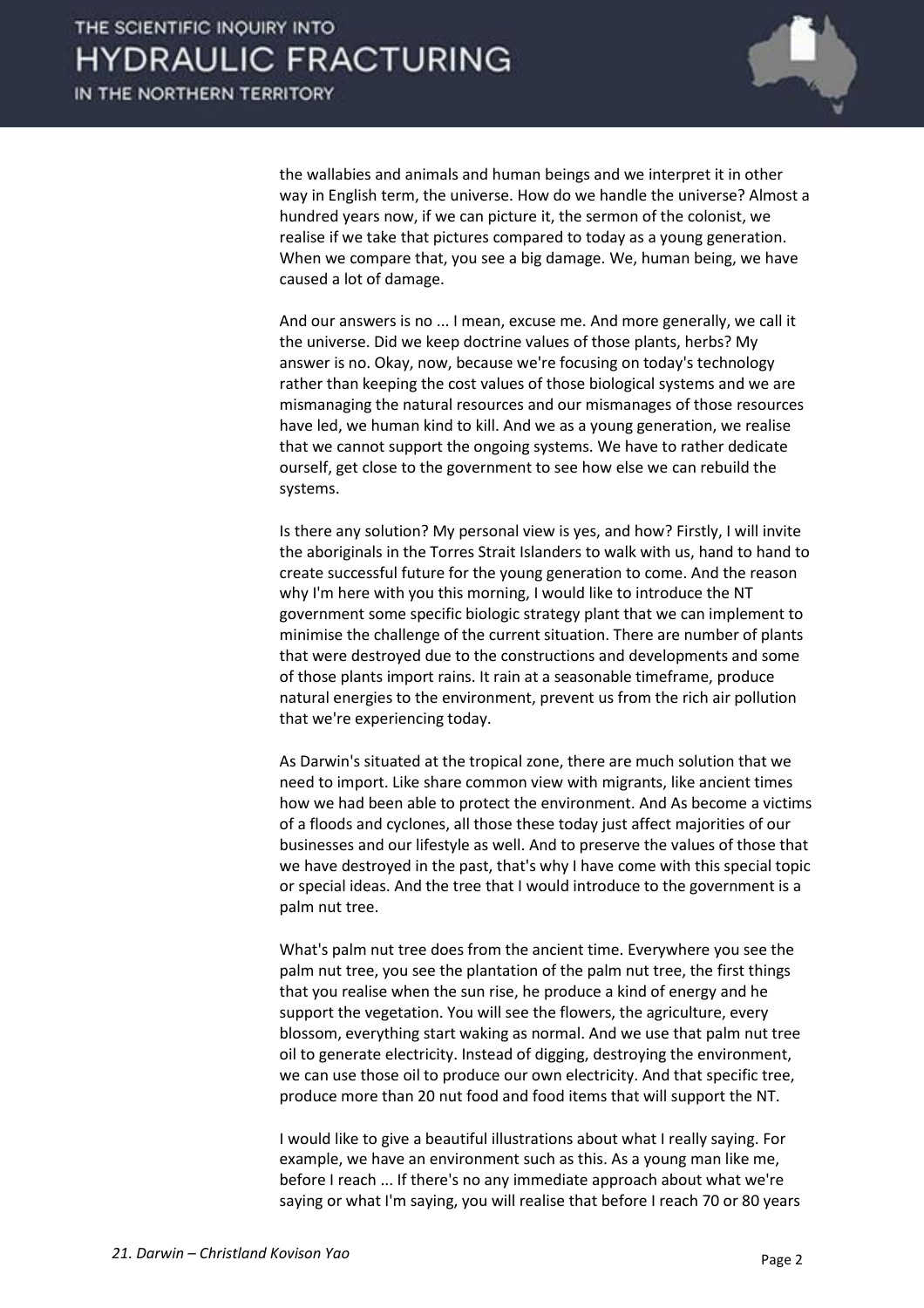

the wallabies and animals and human beings and we interpret it in other way in English term, the universe. How do we handle the universe? Almost a hundred years now, if we can picture it, the sermon of the colonist, we realise if we take that pictures compared to today as a young generation. When we compare that, you see a big damage. We, human being, we have caused a lot of damage.

 And our answers is no ... I mean, excuse me. And more generally, we call it the universe. Did we keep doctrine values of those plants, herbs? My answer is no. Okay, now, because we're focusing on today's technology rather than keeping the cost values of those biological systems and we are mismanaging the natural resources and our mismanages of those resources have led, we human kind to kill. And we as a young generation, we realise that we cannot support the ongoing systems. We have to rather dedicate ourself, get close to the government to see how else we can rebuild the systems.

 Is there any solution? My personal view is yes, and how? Firstly, I will invite the aboriginals in the Torres Strait Islanders to walk with us, hand to hand to create successful future for the young generation to come. And the reason why I'm here with you this morning, I would like to introduce the NT government some specific biologic strategy plant that we can implement to minimise the challenge of the current situation. There are number of plants that were destroyed due to the constructions and developments and some of those plants import rains. It rain at a seasonable timeframe, produce natural energies to the environment, prevent us from the rich air pollution that we're experiencing today.

 As Darwin's situated at the tropical zone, there are much solution that we need to import. Like share common view with migrants, like ancient times how we had been able to protect the environment. And As become a victims of a floods and cyclones, all those these today just affect majorities of our businesses and our lifestyle as well. And to preserve the values of those that we have destroyed in the past, that's why I have come with this special topic or special ideas. And the tree that I would introduce to the government is a palm nut tree.

 What's palm nut tree does from the ancient time. Everywhere you see the palm nut tree, you see the plantation of the palm nut tree, the first things that you realise when the sun rise, he produce a kind of energy and he support the vegetation. You will see the flowers, the agriculture, every blossom, everything start waking as normal. And we use that palm nut tree oil to generate electricity. Instead of digging, destroying the environment, we can use those oil to produce our own electricity. And that specific tree, produce more than 20 nut food and food items that will support the NT.

 I would like to give a beautiful illustrations about what I really saying. For example, we have an environment such as this. As a young man like me, before I reach ... If there's no any immediate approach about what we're saying or what I'm saying, you will realise that before I reach 70 or 80 years